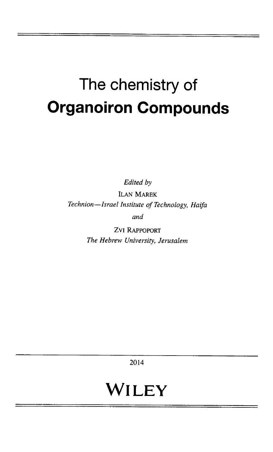## The chemistry of Organoiron Compounds

Edited by

lLAN MAREK Technion—Israel Institute of Technology, Haifa and

> ZVI Rappoport The Hebrew University, Jerusalem

> > 2014

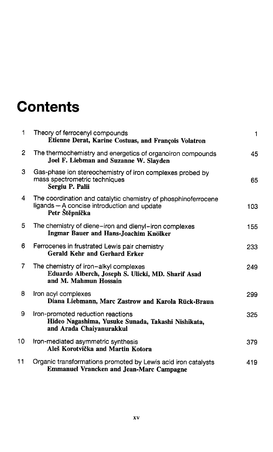## **Contents**

| 1  | Theory of ferrocenyl compounds<br>Etienne Derat, Karine Costuas, and François Volatron                                          | $\mathbf{1}$ |
|----|---------------------------------------------------------------------------------------------------------------------------------|--------------|
| 2  | The thermochemistry and energetics of organoiron compounds<br>Joel F. Liebman and Suzanne W. Slayden                            | 45           |
| З  | Gas-phase ion stereochemistry of iron complexes probed by<br>mass spectrometric techniques<br>Sergiu P. Palii                   | 65           |
| 4  | The coordination and catalytic chemistry of phosphinoferrocene<br>ligands - A concise introduction and update<br>Petr Štěpnička | 103          |
| 5. | The chemistry of diene-iron and dienyl-iron complexes<br>Ingmar Bauer and Hans-Joachim Knölker                                  | 155          |
| 6  | Ferrocenes in frustrated Lewis pair chemistry<br>Gerald Kehr and Gerhard Erker                                                  | 233          |
| 7  | The chemistry of iron-alkyl complexes<br>Eduardo Alberch, Joseph S. Ulicki, MD. Sharif Asad<br>and M. Mahmun Hossain            | 249          |
| 8  | Iron acyl complexes<br>Diana Liebmann, Marc Zastrow and Karola Rück-Braun                                                       | 299          |
| 9  | Iron-promoted reduction reactions<br>Hideo Nagashima, Yusuke Sunada, Takashi Nishikata,<br>and Arada Chaiyanurakkul             | 325          |
| 10 | Iron-mediated asymmetric synthesis<br>Aleš Korotvička and Martin Kotora                                                         | 379          |
| 11 | Organic transformations promoted by Lewis acid iron catalysts<br><b>Emmanuel Vrancken and Jean-Marc Campagne</b>                | 419          |